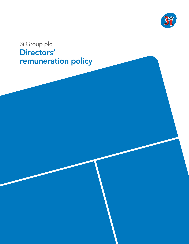

# 3i Group plc Directors' remuneration policy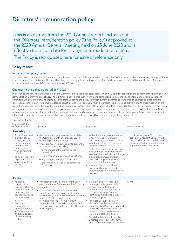## Directors' remuneration policy

This is an extract from the 2020 Annual report and sets out the Directors' remuneration policy ("the Policy") approved at the 2020 Annual General Meeting held on 25 June 2020 and is effective from that date for all payments made to directors.

The Policy is reproduced here for ease of reference only.

## Policy report

#### Remuneration policy table

The table below summarises the policy in respect of each element of the Company's remuneration for Executive and non-executive Directors effective from the date of the 2020 Annual General Meeting. This policy will be put forward for shareholder approval at the 2020 Annual General Meeting in accordance with section 439A of the Companies Act 2006.

#### Changes to the policy operated in FY2020

In designing the new Remuneration policy the Committee followed a robust process which included discussions on the content of the policy at four Remuneration Committee meetings. The Committee considered input from management and from its independent remuneration advisors and consulted with shareholders and their advisers before updating the policy to reflect current governance standards. In addition to extending the discretions of the Remuneration Committee to adjust awards retrospectively when circumstances dictate and providing further clarification on the use of the malus provision, the new Remuneration policy ensures that future LTIP awards will not be released before the fifth anniversary of their grant and introduces post-employment shareholding retention rules for two years following departure of any executive director. While the Committee will consider the appropriateness of the Remuneration policy annually to ensure it continues to align with the business strategy, there is no current intention to revise the policy more often than every three years, unless required by changes to regulations or legislation.

#### Executive Directors

| Purpose and link to<br>strategic objectives                                                                                                                                                                                                                                                | Operation                                                                                                                                                                                                                                                                                                                                                                                                                                               | Opportunity                                                                                                                                                                                                                                                                                                                                                                                                                                                                                                                                                          | Performance metrics                                                                                                                                                                      |
|--------------------------------------------------------------------------------------------------------------------------------------------------------------------------------------------------------------------------------------------------------------------------------------------|---------------------------------------------------------------------------------------------------------------------------------------------------------------------------------------------------------------------------------------------------------------------------------------------------------------------------------------------------------------------------------------------------------------------------------------------------------|----------------------------------------------------------------------------------------------------------------------------------------------------------------------------------------------------------------------------------------------------------------------------------------------------------------------------------------------------------------------------------------------------------------------------------------------------------------------------------------------------------------------------------------------------------------------|------------------------------------------------------------------------------------------------------------------------------------------------------------------------------------------|
| Base salary                                                                                                                                                                                                                                                                                |                                                                                                                                                                                                                                                                                                                                                                                                                                                         |                                                                                                                                                                                                                                                                                                                                                                                                                                                                                                                                                                      |                                                                                                                                                                                          |
| • To provide a fixed<br>element of pay at<br>a level that aids<br>the recruitment,<br>retention and<br>motivation of<br>high performing<br>people.<br>• To reflect their role,<br>experience and<br>importance to the<br>business.                                                         | • Salaries are normally reviewed annually by<br>the Committee, with any changes usually<br>becoming effective from 1 July.<br>• These are reviewed by taking into account a<br>number of factors, including:<br>- performance of the Company and<br>individual:<br>- wider market and economic conditions;<br>- any changes in responsibilities; and<br>$-$ the level of increases made across the<br>Company.                                          | • Whilst there is no maximum salary<br>level, increases are generally<br>considered in the context of those<br>awarded to other employees and<br>the wider market.<br>· Higher increases may be awarded<br>in exceptional circumstances. For<br>example, this may include a change<br>in size, scope or responsibility of<br>role, or development within the role<br>or a specific retention issue.<br>• The annual base salary for each<br>Executive Director is set out in the<br>Annual report on remuneration for<br>the year.                                   | • None, although the Committee<br>considers when setting salary levels<br>the breadth and responsibilities of the<br>role as well as the competence and<br>experience of the individual. |
| Pension                                                                                                                                                                                                                                                                                    |                                                                                                                                                                                                                                                                                                                                                                                                                                                         |                                                                                                                                                                                                                                                                                                                                                                                                                                                                                                                                                                      |                                                                                                                                                                                          |
| • To provide<br>contributions to<br><b>Executive Directors</b><br>to enable them to<br>make long-term<br>savings to provide<br>post-retirement<br>income.<br>• Pension<br>contributions are<br>provided to both<br>support retention<br>and recruit people<br>of the necessary<br>calibre. | • Participation in the defined contribution<br>pension scheme (3i Retirement Plan) or cash<br>equivalent.<br>• Prior to 2011 Executive Directors were<br>eligible for membership of the 3i Group<br>Pension Plan, a defined benefit contributory<br>scheme. Pension accrual ceased for all<br>members with effect from 5 April 2011,<br>although a link to final salary is maintained<br>for existing accrual up to the date of leaving<br>the Company. | • Executive Directors receive a<br>pension contribution or cash<br>allowance of up to 12% of<br>pensionable salary. The pension<br>policy for Executive Directors is<br>identical to the pension policy for<br>other employees.<br>• For those Executive Directors<br>who were members of the 3i<br>Group Pension Plan, their deferred<br>pension will change to reflect the<br>deferred pension available on<br>leaving, payable from age 60.<br>• Details for the current Executive<br>Directors are set out in the Annual<br>report of remuneration for the year. | $\bullet$ n/a                                                                                                                                                                            |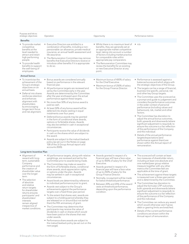| Purpose and link to<br>strategic objectives                                                                                                                                                                                                                                                                                                                                        | Operation                                                                                                                                                                                                                                                                                                                                                                                                                                                                                                                                                                                                                                                                                                                                                                                                                                                                                                                                                                                                                                                        | Opportunity                                                                                                                                                                                                                                                                                                                                                                                                                                                                     | Performance metrics                                                                                                                                                                                                                                                                                                                                                                                                                                                                                                                                                                                                                                                                                                                                                                                                                                                                                                         |
|------------------------------------------------------------------------------------------------------------------------------------------------------------------------------------------------------------------------------------------------------------------------------------------------------------------------------------------------------------------------------------|------------------------------------------------------------------------------------------------------------------------------------------------------------------------------------------------------------------------------------------------------------------------------------------------------------------------------------------------------------------------------------------------------------------------------------------------------------------------------------------------------------------------------------------------------------------------------------------------------------------------------------------------------------------------------------------------------------------------------------------------------------------------------------------------------------------------------------------------------------------------------------------------------------------------------------------------------------------------------------------------------------------------------------------------------------------|---------------------------------------------------------------------------------------------------------------------------------------------------------------------------------------------------------------------------------------------------------------------------------------------------------------------------------------------------------------------------------------------------------------------------------------------------------------------------------|-----------------------------------------------------------------------------------------------------------------------------------------------------------------------------------------------------------------------------------------------------------------------------------------------------------------------------------------------------------------------------------------------------------------------------------------------------------------------------------------------------------------------------------------------------------------------------------------------------------------------------------------------------------------------------------------------------------------------------------------------------------------------------------------------------------------------------------------------------------------------------------------------------------------------------|
| <b>Benefits</b>                                                                                                                                                                                                                                                                                                                                                                    |                                                                                                                                                                                                                                                                                                                                                                                                                                                                                                                                                                                                                                                                                                                                                                                                                                                                                                                                                                                                                                                                  |                                                                                                                                                                                                                                                                                                                                                                                                                                                                                 |                                                                                                                                                                                                                                                                                                                                                                                                                                                                                                                                                                                                                                                                                                                                                                                                                                                                                                                             |
| • To provide market<br>competitive<br>benefits at the<br>level needed to<br>attract and retain<br>high performing<br>people.<br>• To provide health<br>benefits to support<br>the well-being of<br>employees.                                                                                                                                                                      | • Executive Directors are entitled to a<br>combination of benefits, including a non-<br>pensionable car allowance, private medical<br>insurance, an annual health assessment and<br>life assurance.<br>• The Remuneration Committee may remove<br>benefits that Executive Directors receive or<br>introduce other benefits if it is appropriate<br>to do so.                                                                                                                                                                                                                                                                                                                                                                                                                                                                                                                                                                                                                                                                                                     | • Whilst there is no maximum level of<br>benefits, they are generally set at<br>an appropriate market competitive<br>level, taking into account a number<br>of factors including market practice<br>for comparable roles within<br>appropriate pay comparators.<br>• The Remuneration Committee may<br>review the benefits for an existing<br>or new Executive Director at any<br>point.                                                                                        | $\bullet$ n/a                                                                                                                                                                                                                                                                                                                                                                                                                                                                                                                                                                                                                                                                                                                                                                                                                                                                                                               |
| <b>Annual bonus</b>                                                                                                                                                                                                                                                                                                                                                                |                                                                                                                                                                                                                                                                                                                                                                                                                                                                                                                                                                                                                                                                                                                                                                                                                                                                                                                                                                                                                                                                  |                                                                                                                                                                                                                                                                                                                                                                                                                                                                                 |                                                                                                                                                                                                                                                                                                                                                                                                                                                                                                                                                                                                                                                                                                                                                                                                                                                                                                                             |
| • To incentivise the<br>achievement of the<br>Group's strategic<br>objectives on an<br>annual basis.<br>• Deferral into shares<br>reinforces retention<br>and enhances<br>alignment with<br>shareholders<br>by encouraging<br>longer-term focus<br>and risk alignment.                                                                                                             | • Bonus awards are considered annually<br>based on performance in the relevant<br>financial year.<br>• All performance targets are reviewed and<br>set by the Committee early in the year.<br>Awards are determined by the Committee<br>after the year end based upon the actual<br>performance against these targets.<br>• No more than 50% of any bonus award is<br>paid as cash.<br>• At least 50% of any bonus award will be<br>deferred into shares vesting in equal<br>instalments over four years.<br>• Deferred bonus awards may be granted<br>in the form of conditional share awards,<br>options or forfeitable shares. Awards<br>may also be settled in cash in exceptional<br>circumstances.<br>• Participants receive the value of dividends<br>in cash on the shares which are subject to<br>the award.<br>• Awards are subject to the malus/clawback<br>policy (as set out in the Notes on page<br>108 of the 3i Group Annual report and<br>accounts 2020).                                                                                       | • Maximum bonus of 400% of salary<br>for the Chief Executive.<br>• Maximum bonus of 250% of salary<br>for the Group Finance Director.                                                                                                                                                                                                                                                                                                                                           | • Performance is assessed against a<br>balanced scorecard which aligns with<br>the strategic objectives of the Group.<br>• The targets can be a range of financial,<br>business line specific, personal, risk<br>and other key Group targets.<br>• The Committee uses the scorecard as<br>a prompt and guide to judgement and<br>considers the performance outcomes<br>in the wider context of personal<br>performance (including values and<br>behaviours), risk, market and other<br>factors.<br>• The Committee has discretion to<br>adjust the annual bonus outcomes,<br>both upwards and downwards (where<br>significant adjustment is required), to<br>ensure the outcome is a fair reflection<br>of the performance of the Company<br>and the individual.<br>• Details of the annual performance<br>targets/expectations (and<br>performance against them) are<br>shown within the Annual report of<br>remuneration. |
| Long-term Incentive Plan                                                                                                                                                                                                                                                                                                                                                           |                                                                                                                                                                                                                                                                                                                                                                                                                                                                                                                                                                                                                                                                                                                                                                                                                                                                                                                                                                                                                                                                  |                                                                                                                                                                                                                                                                                                                                                                                                                                                                                 |                                                                                                                                                                                                                                                                                                                                                                                                                                                                                                                                                                                                                                                                                                                                                                                                                                                                                                                             |
| • Alignment of<br>reward with long-<br>term, sustainable<br>Company<br>performance and<br>the creation of<br>shareholder value<br>over the longer<br>term.<br>• The selection<br>of absolute<br>and relative<br>return targets<br>for shareholder<br>returns ensures<br>participants' and<br>shareholders'<br>interests<br>remain aligned<br>irrespective of<br>market conditions. | • All performance targets, along with relative<br>weightings, are reviewed and set by the<br>Committee prior to awards being made.<br>• The Committee may make an award in<br>the form of forfeitable shares, conditional<br>share awards, stock appreciation rights,<br>or options under the plan. Awards<br>may be settled in cash in exceptional<br>circumstances.<br>• Award levels are determined by reference<br>to individual performance prior to grant.<br>• Awards vest subject to the Group's<br>achievements against the performance<br>targets over a fixed three-year period.<br>• To the extent that shares vest, awards are<br>subject to a holding period whereby they<br>are released on or around (but not earlier<br>than) the fifth anniversary of grant.<br>• The Committee may determine that<br>participants may receive the value of<br>dividends in cash or shares which would<br>have been paid on the shares that vest<br>under awards.<br>• Performance share awards are subject to<br>the malus/clawback policy (as set out on the | • Awards granted in respect of a<br>financial year will have a face value<br>of up to 400% of salary for the Chief<br>Executive.<br>• Awards granted in respect of a<br>financial year will have a face value<br>of up to 250% of salary for the<br>Group Finance Director.<br>• Normally, no payment will be made<br>for below threshold performance.<br>• Between 20% and 25% of the award<br>vests at threshold performance,<br>depending upon the performance<br>condition. | • The scorecard will contain at least<br>two measures of shareholder return,<br>including at least one absolute and<br>one market/peer group relative<br>measure together with any other<br>metrics the Committee feel are<br>applicable at the time of grant.<br>• The achievement against these targets<br>is measured over a three-year period<br>and is determined by the Committee.<br>• The Committee has discretion to<br>adjust the formulaic LTIP outcomes,<br>both upwards and downwards (where<br>significant adjustment is required), to<br>ensure the outcome is a fair reflection<br>of the performance of the Company<br>and the individual.<br>• The Committee can reduce any award<br>which would otherwise vest if gross<br>debt or gearing limits are breached.<br>• Details of the current performance<br>conditions are shown within the<br>Annual report of remuneration.                             |

next page).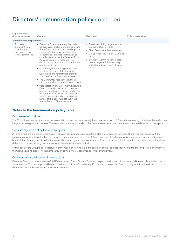## Directors' remuneration policy continued

| Purpose and link to<br>strategic objectives                                                   | Operation                                                                                                                                                                                                                                                                                                                                                                                                                                                                                                                                                                                                                                                                                                                                                                                                                                                                                                                                      | Opportunity                                                                                                                                                                                                                                                                    | Performance metrics |
|-----------------------------------------------------------------------------------------------|------------------------------------------------------------------------------------------------------------------------------------------------------------------------------------------------------------------------------------------------------------------------------------------------------------------------------------------------------------------------------------------------------------------------------------------------------------------------------------------------------------------------------------------------------------------------------------------------------------------------------------------------------------------------------------------------------------------------------------------------------------------------------------------------------------------------------------------------------------------------------------------------------------------------------------------------|--------------------------------------------------------------------------------------------------------------------------------------------------------------------------------------------------------------------------------------------------------------------------------|---------------------|
| Shareholding requirements                                                                     |                                                                                                                                                                                                                                                                                                                                                                                                                                                                                                                                                                                                                                                                                                                                                                                                                                                                                                                                                |                                                                                                                                                                                                                                                                                |                     |
| $\bullet$ To create<br>alignment with<br>shareholders<br>by encouraging<br>longer-term focus. | • Executive Directors are required to build<br>up over a reasonable period of time, and<br>thereafter maintain, a shareholding in the<br>Company's shares. Vested shares (net<br>of income tax and National Insurance<br>contributions) under the Deferred Bonus<br>Plan and Long-term Incentive Plan<br>should be retained until the shareholding<br>requirement is met.<br>• In addition, shareholding targets exist<br>for other members of the Executive<br>Committee and for staff designated as<br>"partners" in the Group's businesses.<br>• The Committee retains the ability to<br>introduce additional retention conditions.<br>• Post-cessation of employment, Executive<br>Directors are also expected to remain<br>aligned with the interests of shareholders<br>for a period after leaving the Company,<br>save for in exceptional circumstances.<br>Details of this policy are set out in the<br>Annual Report of Remuneration. | • The shareholding targets for the<br>Executive Directors are:<br>• Chief Executive - 3.0 times salary<br>• Group Finance Director – 2.0 times<br>salary<br>• Executive Committee members<br>have a target of 1.5 times salary<br>and selected "partners" 1.0 times<br>salary. | $\bullet$ n/a       |
|                                                                                               |                                                                                                                                                                                                                                                                                                                                                                                                                                                                                                                                                                                                                                                                                                                                                                                                                                                                                                                                                |                                                                                                                                                                                                                                                                                |                     |

## Notes to the Remuneration policy table

#### Performance conditions

The Committee selected the performance conditions used for determining the annual bonus and LTIP awards as they align directly with the short and long-term strategy of the business. These conditions are set annually by the Committee at levels that take into account the Board's business plan.

### Consistency with policy for all employees

All employees are eligible to receive salary, pension contributions and benefits and to be considered for a discretionary annual bonus, with the maximum opportunities reflecting the role and seniority of each employee. Other members of the Executive Committee are subject to the same bonus deferral arrangements as the Executive Directors. Higher-earning members of staff below Executive Committee have a portion of their bonus deferred into shares vesting in equal instalments over a three-year period.

Within each of the Group's businesses, senior members of staff have a significant part of their compensation linked to the long-term performance of the Group's and its clients' investments through carried interest schemes or similar arrangements.

#### Co-investment and carried interest plans

Executive Directors, other than the Chief Executive and Group Finance Director, are permitted to participate in carried interest plans and similar arrangements. This was approved by shareholders on 4 July 2001 and 6 July 2011 when approving the Group's Long-term Incentive Plan. No current Executive Director benefits from these arrangements.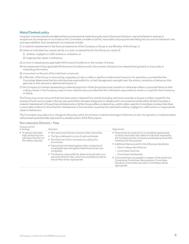#### Malus/Clawback policy

Long-term incentive awards and deferred bonus share awards made during the year to Executive Directors, may be forfeited or reduced in exceptional circumstances on such basis as the Committee considers to be fair, reasonable and proportionate taking into account an individual's role and responsibilities. Such exceptional circumstances include:

- (1) a material misstatement in the financial statements of the Company or Group or any Member of the Group; or
- (2) where an individual has caused, wholly or in part, a material loss for the Group as a result of:
	- (i) reckless, negligent or wilful actions or omissions; or
	- (ii) inappropriate values or behaviour.
- (3) an error in assessing any applicable Performance Conditions or the number of shares;
- (4) the assessment of any applicable Performance Conditions and/or the number of shares to be released being based on inaccurate or misleading information;
- (5) misconduct on the part of the individual concerned;
- (6) a Member of the Group is censured by a regulatory body or suffers a significant detrimental impact on its reputation, provided that the Committee determines that the individual was responsible for, or had management oversight over, the actions, omissions or behaviour that gave rise to that censure or detrimental impact; or
- (7) the Company (or entities representing a material proportion of the Group) becomes insolvent or otherwise suffers a corporate failure so that ordinary shares in the Company cease to have material value, provided that the individual is responsible (in whole or in part) for that insolvency or failure.

The Group may recover amounts that have been paid or released from awards (including cash bonus awards), as long as a written request for the recovery of such sums is made in the two-year period from the date of payment or release and in circumstances where either (a) there has been a material misstatement of Group financial statements or (b) the Group suffers a material loss, and (in either case) the Committee considers that there is reasonable evidence to show that the misstatement or loss has been caused by the individual's reckless, negligent or wilful actions or inappropriate values or behaviours.

The Committee may make minor changes to this policy, which do not have a material advantage to Directors, to aid in its operation or implementation without seeking shareholder approval for a revised version of this Policy report.

| Purpose and link<br>to strategy                                                                    | Operation                                                                                                                                                                                                                                                                                                                                                                                                                                                             | Opportunity                                                                                                                                                                                                                                                                                                                                                                                                                                                                                                                                     |
|----------------------------------------------------------------------------------------------------|-----------------------------------------------------------------------------------------------------------------------------------------------------------------------------------------------------------------------------------------------------------------------------------------------------------------------------------------------------------------------------------------------------------------------------------------------------------------------|-------------------------------------------------------------------------------------------------------------------------------------------------------------------------------------------------------------------------------------------------------------------------------------------------------------------------------------------------------------------------------------------------------------------------------------------------------------------------------------------------------------------------------------------------|
| • To attract and retain<br>high performing non-<br>executive Directors of<br>the calibre required. | • Non-executive Directors receive a basic annual fee.<br>• The fee is delivered in a mix of cash and shares.<br>• The Chairman's fee is reviewed annually by the<br>Committee.<br>• Fees are benchmarked against other companies of<br>comparable size and against listed financial services<br>companies.<br>• The Board is responsible for determining all other non-<br>executive Director fees, which are reviewed annually to<br>ensure they remain appropriate. | • Fees are set at a level which is considered appropriate<br>to attract and retain the calibre of individual required by<br>the Company but the Company avoids paying more than<br>necessary for this purpose.<br>• Additional fees are paid for the following roles/duties:<br>- Senior Independent Director<br>- Committee Chairman<br>- Committee membership<br>• Committee fees are payable in respect of the Audit and<br>Compliance Committee, Remuneration Committee,<br>Valuations Committee and other Committees where<br>appropriate. |

#### Non-executive Directors – Fees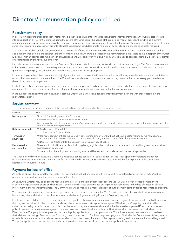## Directors' remuneration policy continued

## Recruitment policy

In determining remuneration arrangements for new executive appointments to the Board (including internal promotions), the Committee will take into consideration all relevant factors, including the calibre of the individual, the nature of the role, local market practice, the individual's current remuneration package, 3i remuneration policy, internal relativities and existing arrangements for other Executive Directors. For external appointments, some variation may be necessary in order to attract the successful candidate and to reflect particular skills or experience specifically required.

The maximum level of variable pay (as expressed as a multiple of base salary) which may be awarded to new Executive Directors in respect of their appointment shall be no more generous than the combined maximum limits expressed in the Remuneration policy table above in respect of the Chief Executive, with an appropriate mix between annual bonus and LTIP opportunity, excluding any awards made to compensate the Executive Director for awards forfeited by their previous employer.

It may be necessary to compensate the new Executive Director for variable pay being forfeited from their current employer. The Committee's intention is that any such award would be no more generous than the awards being forfeited and would be determined on a comparable basis at the time of grant, including the pay-out schedule and performance conditions, where appropriate.

In determining whether it is appropriate to use judgement, as set out above, the Committee will ensure that any awards made are in the best interests of both the Company and its shareholders. The Committee is at all times conscious of the need to pay no more than is necessary, particularly when determining buyout arrangements.

For both internal and external appointments, it may be deemed appropriate to buy out awards held in carried interest or other asset-related incentive arrangements. The Committee's intention is that any such buyout would be at a fair value at the time of appointment.

In the event of the appointment of a new non-executive Director, remuneration arrangements will normally be in line with those detailed in the relevant table above.

## Service contracts

The main terms of the service contracts of the Executive Directors who served in the year were as follows:

| Provision                      | Policy                                                                                                                                                                                                                                   |
|--------------------------------|------------------------------------------------------------------------------------------------------------------------------------------------------------------------------------------------------------------------------------------|
| Notice period                  | • 12 months' notice if given by the Company.                                                                                                                                                                                             |
|                                | • 6 months' notice if given by the Executive Director.                                                                                                                                                                                   |
|                                | • Company policy is that Executive Directors' notice periods should not normally exceed one year. Save for these notice periods the<br>contracts have no unexpired terms.                                                                |
| Dates of contracts             | • Mr S A Borrows $-17$ May 2012                                                                                                                                                                                                          |
|                                | • Mrs J S Wilson - 1 October 2008                                                                                                                                                                                                        |
| <b>Termination</b><br>payments | • Mr Borrows' contract entitles the Company to terminate employment without notice subject to making 12 monthly payments<br>thereafter equivalent to monthly basic pay and benefits less any amounts earned from alternative employment. |
|                                | • All Directors' contracts entitle the Company to give pay in lieu of notice.                                                                                                                                                            |
| Remuneration<br>and benefits   | • The operation of all incentive plans, including being eligible to be considered for an annual bonus and Long-term Incentive Plan<br>awards, is non-contractual.                                                                        |
|                                | • On termination of employment outstanding awards will be treated in accordance with the relevant plan rules.                                                                                                                            |

The Chairman and the non-executive Directors do not have service contracts or contracts for services. Their appointment letters provide for no entitlement to compensation or other benefits on ceasing to be a Director. Service contracts are available for inspection at the Company's headquarters in business hours.

## Payment for loss of office

As outlined above, the Committee must satisfy any contractual obligations agreed with the Executive Directors. Details of the Directors' notice periods are shown alongside the service contract information.

An Executive Director may be eligible to receive a time pro-rated annual bonus in respect of the year up until he or she ceased employment. In determining whether to award any bonus, the Committee will assess performance during the financial year up to the date of cessation of active involvement in their management role. The Committee may also make a payment in respect of outplacement costs and legal fees where appropriate.

The treatment of outstanding share awards is governed by the relevant share plan rules. The following table and the Note below it summarise the leaver categories and the impact on the share awards which employees (including Executive Directors) may hold.

For the avoidance of doubt, the Committee reserves the right to make any remuneration payments and payments for loss of office notwithstanding that they are not in line with the policy set out above, where the terms of that payment were agreed (i) before the 2014 policy came into effect or (ii) before this policy came into effect, provided that the terms of payment were consistent with the shareholder approved Directors' remuneration policy in force at the time they were agreed or were otherwise approved by shareholders; or (iii) at a time when the relevant individual was not a Director of the Company (or other person to whom this policy applied) and, in the opinion of the Committee, the payment was not in consideration for the individual becoming a Director of the Company or such other person. For these purposes "payments" includes the Committee satisfying awards of variable remuneration and, in relation to an award or option over shares, the terms of the payment are "agreed" at the time the award is granted. This policy applies equally to any individual who is required to be treated as a Director under the applicable regulations.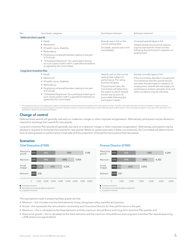| Good leaver categories                                                                                                                                                                                                                                                                           | Good leaver treatment <sup>1</sup>                                                                                                                                                                                                                                             | Bad leaver treatment <sup>1</sup>                                                                                                                                                                                                                                                        |
|--------------------------------------------------------------------------------------------------------------------------------------------------------------------------------------------------------------------------------------------------------------------------------------------------|--------------------------------------------------------------------------------------------------------------------------------------------------------------------------------------------------------------------------------------------------------------------------------|------------------------------------------------------------------------------------------------------------------------------------------------------------------------------------------------------------------------------------------------------------------------------------------|
| Deferred share awards                                                                                                                                                                                                                                                                            |                                                                                                                                                                                                                                                                                |                                                                                                                                                                                                                                                                                          |
| $\bullet$ Death<br>• Retirement<br>• Ill health, injury, disability<br>• Redundancy<br>• Employing company/business ceasing to be part<br>of 3i Group<br>• "Scheduled Departure" (ie a participant leaving<br>on such a basis and/or within a specified timeframe<br>as agreed by the Committee) | Awards vest in full on the<br>normal vesting date.<br>On death, awards vest in full<br>immediately.                                                                                                                                                                            | Unvested awards lapse in full.<br>Vested awards structured as options<br>may be exercised for three months<br>following the participant's cessation of<br>employment.                                                                                                                    |
| Long-term Incentive Plan                                                                                                                                                                                                                                                                         |                                                                                                                                                                                                                                                                                |                                                                                                                                                                                                                                                                                          |
| $\bullet$ Death<br>• Retirement<br>• Ill health, injury, disability<br>• Redundancy<br>• Employing company/business ceasing to be part<br>of 3i Group<br>• "Scheduled Departure" (ie a participant leaving on<br>such a basis and/or within a specified timeframe as<br>agreed by the Committee) | Awards vest on the normal<br>vesting date subject to<br>performance. Pro rating<br>for time will apply.<br>If a participant dies, the<br>Committee will determine<br>the extent to which awards<br>should vest as soon as<br>practicable following the<br>participant's death. | Awards normally lapse in full.<br>If the Committee decides in exceptional<br>circumstances that the awards should<br>vest after the participant's cessation of<br>employment, awards will vest subject to<br>performance and pro rating for time and<br>other conditions may be imposed. |
|                                                                                                                                                                                                                                                                                                  |                                                                                                                                                                                                                                                                                |                                                                                                                                                                                                                                                                                          |

1 The treatments set out in the table above apply to all employees and are expected to operate in the vast majority of cases. The Plan rules retain discretion for the Committee to reduce awards in exceptional circumstances to Good Leavers or permit vesting (in whole or in part) of awards which would otherwise lapse to Bad Leavers. The Committee will report on the use of this discretion if it is<br>exercised in relation

## Change of control

Deferred share awards will generally vest early on a takeover, merger or other corporate reorganisation. Alternatively, participants may be allowed or required to exchange their awards for new awards.

Long-term Incentive Plan awards will generally vest early on a takeover, merger or other corporate reorganisation. Alternatively, participants may be allowed or required to exchange their awards for new awards. Where an award vests early in these circumstances, the Committee will determine the level of vesting based on performance to that date and the proportion of the performance period that has passed.

## Scenarios

#### Chief Executive (£'000)



### Finance Director (£'000)



The assumptions made in preparing these graphs are that:

- Minimum this includes only the fixed elements of pay, being base salary, benefits and pension;
- Actual this represents the remuneration received by each Executive Director for their performance in the year;
- Maximum this is calculated as the fixed elements and the maximum Annual Bonus and Long-term Incentive Plan awards; and
- Share price growth this is calculated as the fixed elements and the maximum Annual Bonus and Long-term Incentive Plan awards (assuming a 50% share price appreciation).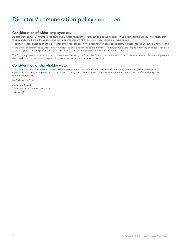## Directors' remuneration policy continued

## Consideration of wider employee pay

As part of the annual Committee agenda, the Committee reviews the overall pay and bonus decisions in aggregate for the Group. This ensures that the pay and conditions in the wider Group are taken into account when determining Directors' pay. In particular:

- salary increases awarded over time to other employees are taken into account when considering salary increases for the Executive Directors; and
- the bonus awards made to Directors are considered and made in the context of discretionary bonus awards made within the business. These are based upon Company performance, and are closely correlated to the Executive Director bonus awards.

The Company does not consult with employees when preparing the Executive Director remuneration policy. However, a number of our employees are shareholders and so are able to express their views in the same way as other shareholders.

## Consideration of shareholder views

The Committee has remained engaged with shareholders during the period since 2017, and will continue to be mindful of shareholder views when evaluating and setting ongoing remuneration strategy, and commits to consulting with shareholders prior to any significant changes to remuneration policy.

By Order of the Board

Jonathan Asquith Chairman, Remuneration Committee

13 May 2020